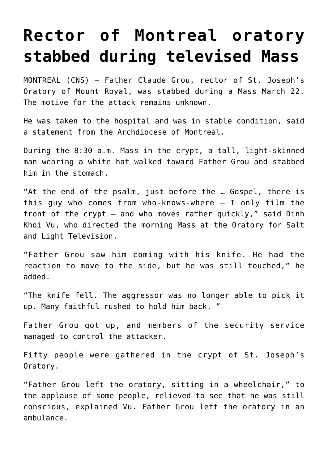## **[Rector of Montreal oratory](https://www.osvnews.com/2019/03/22/rector-of-montreal-oratory-stabbed-during-televised-mass/) [stabbed during televised Mass](https://www.osvnews.com/2019/03/22/rector-of-montreal-oratory-stabbed-during-televised-mass/)**

MONTREAL (CNS) — Father Claude Grou, rector of St. Joseph's Oratory of Mount Royal, was stabbed during a Mass March 22. The motive for the attack remains unknown.

He was taken to the hospital and was in stable condition, said a statement from the Archdiocese of Montreal.

During the 8:30 a.m. Mass in the crypt, a tall, light-skinned man wearing a white hat walked toward Father Grou and stabbed him in the stomach.

"At the end of the psalm, just before the … Gospel, there is this guy who comes from who-knows-where — I only film the front of the crypt — and who moves rather quickly," said Dinh Khoi Vu, who directed the morning Mass at the Oratory for Salt and Light Television.

"Father Grou saw him coming with his knife. He had the reaction to move to the side, but he was still touched," he added.

"The knife fell. The aggressor was no longer able to pick it up. Many faithful rushed to hold him back. "

Father Grou got up, and members of the security service managed to control the attacker.

Fifty people were gathered in the crypt of St. Joseph's Oratory.

"Father Grou left the oratory, sitting in a wheelchair," to the applause of some people, relieved to see that he was still conscious, explained Vu. Father Grou left the oratory in an ambulance.